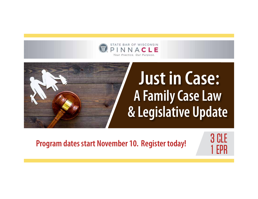

# **Just in Case: A Family Case Law & Legislative Update**

**Program dates start November 10. Register today!** 

3 CLE 1 EPR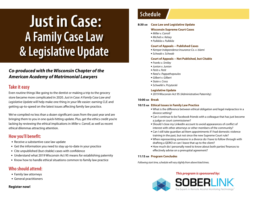## **Just in Case: A Family Case Law & Legislative Update**

## *Co-produced with the Wisconsin Chapter of the American Academy of Matrimonial Lawyers*

## **Take it easy**

Even routine things like going to the dentist or making a trip to the grocery store became more complicated in 2020. *Just in Case: A Family Case Law and Legislative Update* will help make one thing in your life easier: earning CLE and getting up-to-speed on the latest issues affecting family law practice.

We've compiled no less than a dozen significant cases from the past year and are bringing them to you in one quick-hitting update. Plus, get the ethics credit you're lacking by reviewing the ethical implications in *Miller v. Carroll,* as well as recent ethical dilemmas attracting attention.

## **How you'll benefit:**

- Receive a substantive case law update
- Get the information you need to stay up-to-date in your practice
- Cite unpublished (but citable) cases with confidence
- Understand what 2019 Wisconsin Act 95 means for establishing paternity
- Know how to handle ethical situations common to family law practice

## **Who should attend:**

- Family law attorneys
- General practitioners

#### **Register now!**

## **Schedule**

#### **8:30 am Case Law and Legislative Update**

#### **Wisconsin Supreme Court Cases**

- **Miller v. Carroll**
- <sup>l</sup> *Michels v. Kelsey*
- <sup>l</sup> *Pulkkila v. Pulkkila*

#### **Court of Appeals – Published Cases**

- <sup>l</sup> *Kemper Independence Insurance Co. v. Islami*
- <sup>l</sup> *Schwab v. Schwab*

#### **Court of Appeals – Not Published, but Citable**

- <sup>l</sup> *Franks v. Smiley*
- <sup>l</sup> *Junion v. Junion*
- <sup>l</sup> *Petit v. Petit*
- <sup>l</sup> *Reed v. Pappathopoulos*
- **Gilbert v. Gilbert**
- <sup>l</sup> *State v. Cross*
- <sup>l</sup> *Schwefel v. Przytarski*

#### **Legislative Update**

• 2019 Wisconsin Act 95 (Administrative Paternity)

#### **10:00 am Break**

#### **10:15 am Ethical Issues in Family Law Practice**

- What is the difference between ethical obligation and legal malpractice in a divorce setting?
- Can I continue to be Facebook friends with a colleague that has just become a judge or court commissioner?
- Should I close my LinkedIn account to avoid appearances of conflict of interest with other attorneys or other members of the community?
- Can I still take guardian ad litem appointments if I had domestic violence training in the past, but not since the new Supreme Court rule?
- When representing someone in a divorce do I have to follow through with drafting a QDRO or can I leave that up to the client?
- How much do I personally need to know about both parties' finances to effectively advise on a prenuptial agreement?

#### **11:15 am Program Concludes**

*Following start time, schedule will vary slightly from above listed times.*

#### *This program is sponsored by:*



The Experts in Remote Alcohol Monitoring Technology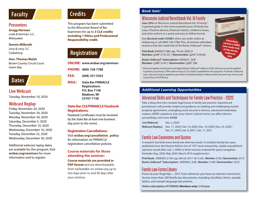## **Faculty**

## **Presenters**

**Gregg Herman** Loeb & Herman, S.C.

Milwaukee

#### **Dennis Milbrath**

Levy & Levy, S.C. Cedarburg

#### **Hon. Thomas Walsh**

Brown County Circuit Court Green Bay

## **Dates**

## **Live Webcast**

Tuesday, November 10, 2020

## **Webcast Replay**

Friday, November 20, 2020 Tuesday, November 24, 2020 Monday, November 30, 2020 Saturday, December 5, 2020 Thursday, December 10, 2020 Wednesday, December 16, 2020 Tuesday, December 22, 2020 Wednesday, December 30, 2020

Additional webcast replay dates are available for this program. Visit **wisbar.org/seminars** for more information and to register.

## **Credits**

This program has been submitted to the Wisconsin Board of Bar Examiners for up to **3 CLE credits including 1 Ethics and Professional Responsibility credit.** 

## **Registration**

**ONLINE: www.wisbar.org/seminars**

**PHONE: (800) 728-7788** 

**FAX: (608) 257-5502**

**MAIL: State Bar PINNACLE Registrations P.O. Box 7158 Madison, WI 53707-7158**

#### **State Bar CLE/PINNACLE Passbook Registrations:**

Passbook Certificates must be received by the State Bar at least one business day prior to the event.

#### **Registration Cancellations:**

Visit **wisbar.org/cancellation\_policy** for information on PINNACLE registration cancellation policies.

#### **Course materials for those attending the seminar:**

**Course materials are provided in PDF format** and are downloadable from *my*StateBar on wisbar.org up to two days prior to and 90 days after your seminar.

#### *Book Sale!*

## Wisconsin Judicial Benchbook Vol. III Family

**Save 20%** on *Wisconsin Judicial Benchbook Vol. III Family*.\* A general guide to the most essential issues of family law cases. Presents divorce, financial matters, children's issues, and other actions in a quick and easy-to-follow format



**Print Book:** #AK0027; 588+ pp.; 7th ed. 2020-21 **Member:** \$169 \$135.20 **| Nonmember:** \$212 \$169.60

*Books UnBound*® **Subscription:** #AE0027\_SUB **Member:** \$180 \$144 **| Nonmember:** \$225 \$80



*\*Discount applies to both print and digital Books UnBound® editions of this title and cannot be applied to previous purchases. Offer valid as long as CLE credit is available for this program. For Books UnBound users, discount may be applied to purchase of individual Books UnBound title only and may not be used on purchase of full library.*

### *Additional Learning Opportunities*

## Advanced Skills and Techniques for Family Law Practice – 2020

Take a deep dive into complex legal issues in family law practice. Experienced practitioners will provide insight and guidance on drafting and challenging marital property agreements, untangling social security in divorce, advanced evidentiary matters, QDRO valuations, how your clients' cultural norms can affect divorce proceedings, and more. **6 CLE** 

**Live Webcast:** Dec. 2, 2020 **Webcast Replays:** Dec. 11, 2020 | Dec 14, 2020 | Dec. 19, 2020 | Dec. 23, 2020 | Dec. 31, 2020 | Jan. 8, 2021 | Jan. 11, 2021

## Family Law Casenotes and Quotes

A research tool that every family law attorney needs. It compiles family law cases published since the Divorce Reform Act of 1977 (and noteworthy, citable unpublished opinions issued after July 1, 2009) in three volumes indexed for quick navigation. (Includes Aug. 2020, May 2020, March 2019 supplements.)

**Print Book:** #AK0056; 2,140+ pp.; 6th ed. 2017-18; 3 vols; **Member:** \$166 | **Nonmember:** \$210 *Books UnBound*® **Subscription:** #AE0056\_SUB; **Member:** \$180 | **Nonmember:** \$225

## Family Law Forms Library

Forms at your fingertips – 24/7, from wherever you have an internet connection. Access more than 200 family law documents, including checklists, forms, sample letters, and sample language documents.

**Online subscription:** #FSFB8000; **Members only:** \$145/year